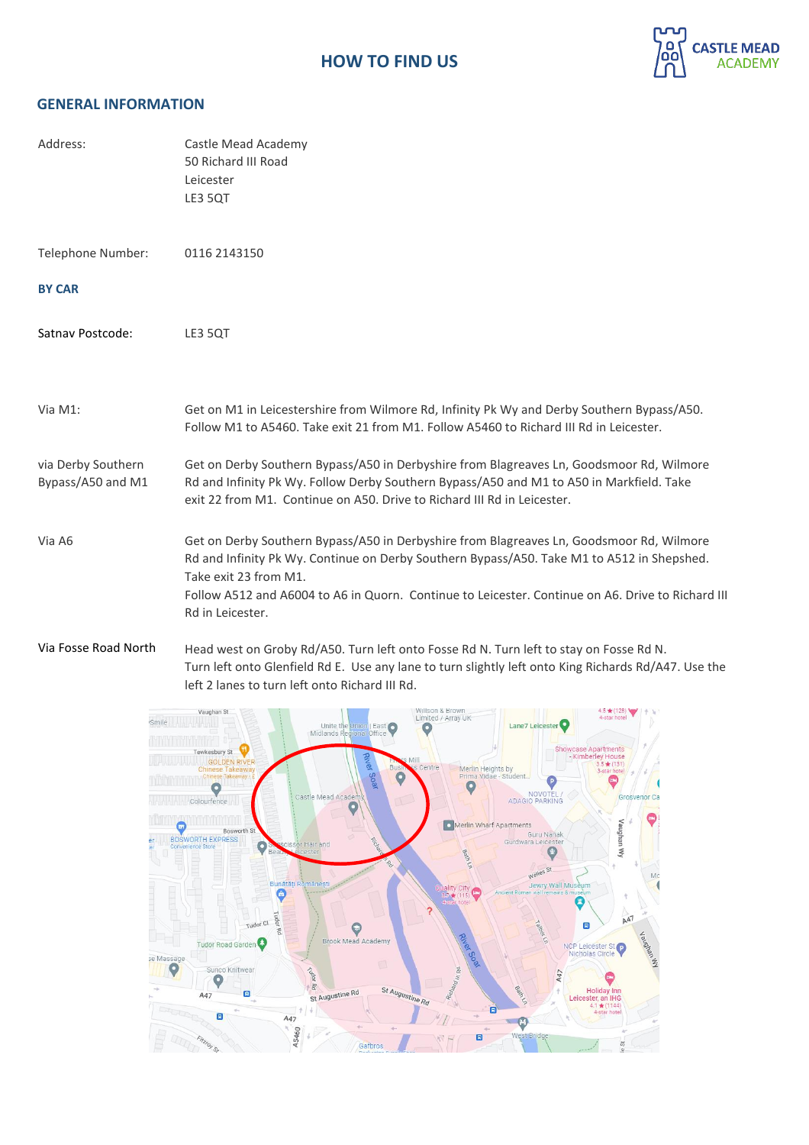

# **GENERAL INFORMATION**

| Address:                                | Castle Mead Academy<br>50 Richard III Road<br>Leicester<br>LE3 5QT                                                                                                                                                                                                                                                                       |
|-----------------------------------------|------------------------------------------------------------------------------------------------------------------------------------------------------------------------------------------------------------------------------------------------------------------------------------------------------------------------------------------|
| Telephone Number:                       | 0116 2143150                                                                                                                                                                                                                                                                                                                             |
| <b>BY CAR</b>                           |                                                                                                                                                                                                                                                                                                                                          |
| Satnav Postcode:                        | LE3 5QT                                                                                                                                                                                                                                                                                                                                  |
| Via M1:                                 | Get on M1 in Leicestershire from Wilmore Rd, Infinity Pk Wy and Derby Southern Bypass/A50.<br>Follow M1 to A5460. Take exit 21 from M1. Follow A5460 to Richard III Rd in Leicester.                                                                                                                                                     |
| via Derby Southern<br>Bypass/A50 and M1 | Get on Derby Southern Bypass/A50 in Derbyshire from Blagreaves Ln, Goodsmoor Rd, Wilmore<br>Rd and Infinity Pk Wy. Follow Derby Southern Bypass/A50 and M1 to A50 in Markfield. Take<br>exit 22 from M1. Continue on A50. Drive to Richard III Rd in Leicester.                                                                          |
| Via A6                                  | Get on Derby Southern Bypass/A50 in Derbyshire from Blagreaves Ln, Goodsmoor Rd, Wilmore<br>Rd and Infinity Pk Wy. Continue on Derby Southern Bypass/A50. Take M1 to A512 in Shepshed.<br>Take exit 23 from M1.<br>Follow A512 and A6004 to A6 in Quorn. Continue to Leicester. Continue on A6. Drive to Richard III<br>Rd in Leicester. |
| Via Fosse Road North                    | Head west on Groby Rd/A50. Turn left onto Fosse Rd N. Turn left to stay on Fosse Rd N.<br>Turn left onto Glenfield Rd E. Use any lane to turn slightly left onto King Richards Rd/A47. Use the                                                                                                                                           |